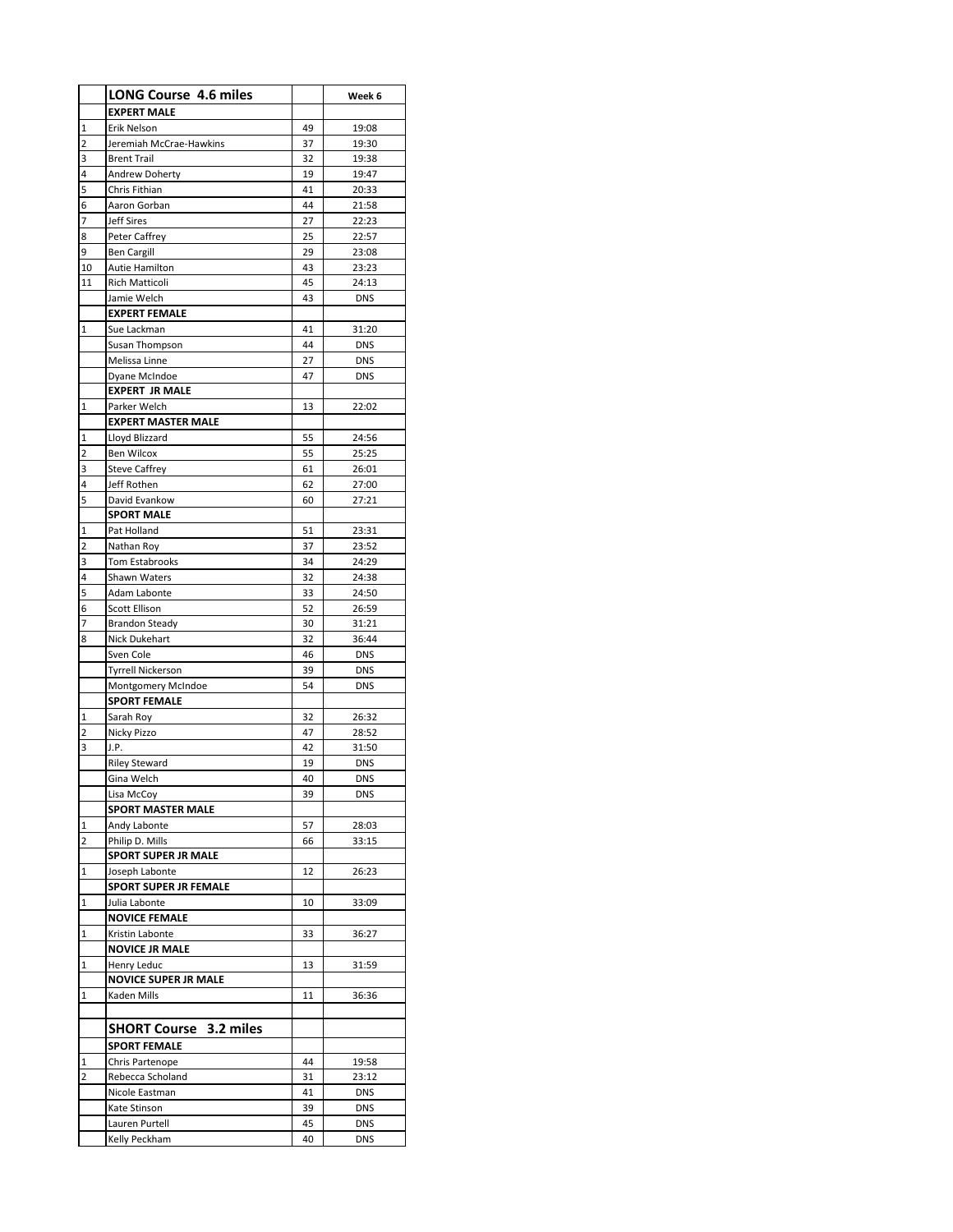|                         | <b>LONG Course 4.6 miles</b>           |          | Week 6                   |
|-------------------------|----------------------------------------|----------|--------------------------|
|                         | <b>EXPERT MALE</b>                     |          |                          |
| 1                       | <b>Erik Nelson</b>                     | 49       | 19:08                    |
| $\overline{\mathbf{c}}$ | Jeremiah McCrae-Hawkins                | 37       | 19:30                    |
| 3                       | <b>Brent Trail</b>                     | 32       | 19:38                    |
| 4                       | Andrew Doherty                         | 19       | 19:47                    |
| 5                       | Chris Fithian                          | 41       | 20:33                    |
| 6                       | Aaron Gorban                           | 44       | 21:58                    |
| 7                       | <b>Jeff Sires</b>                      | 27       | 22:23                    |
| 8                       | Peter Caffrey                          | 25       | 22:57                    |
| 9                       | <b>Ben Cargill</b>                     | 29       | 23:08                    |
| 10                      | <b>Autie Hamilton</b>                  | 43       | 23:23                    |
| 11                      | Rich Matticoli                         | 45       | 24:13                    |
|                         | Jamie Welch                            | 43       | <b>DNS</b>               |
|                         | <b>EXPERT FEMALE</b>                   |          |                          |
| 1                       | Sue Lackman                            | 41       | 31:20                    |
|                         | Susan Thompson                         | 44       | <b>DNS</b>               |
|                         | Melissa Linne                          | 27       | <b>DNS</b>               |
|                         | Dyane McIndoe                          | 47       | <b>DNS</b>               |
|                         | <b>EXPERT JR MALE</b>                  |          |                          |
| 1                       | Parker Welch                           | 13       | 22:02                    |
|                         | <b>EXPERT MASTER MALE</b>              |          |                          |
| 1                       | Lloyd Blizzard                         | 55       | 24:56                    |
| 2                       | <b>Ben Wilcox</b>                      | 55       | 25:25                    |
| 3                       | <b>Steve Caffrey</b>                   | 61       | 26:01                    |
| 4                       | Jeff Rothen                            | 62       | 27:00                    |
| 5                       | David Evankow                          | 60       | 27:21                    |
|                         | <b>SPORT MALE</b>                      |          |                          |
| 1                       | Pat Holland                            | 51       | 23:31                    |
| 2                       | Nathan Roy                             | 37       | 23:52                    |
| 3                       | Tom Estabrooks                         | 34       | 24:29                    |
| 4                       | Shawn Waters                           | 32       | 24:38                    |
| 5                       | <b>Adam Labonte</b>                    | 33<br>52 | 24:50                    |
| 6<br>7                  | Scott Ellison                          |          | 26:59                    |
| 8                       | <b>Brandon Steady</b><br>Nick Dukehart | 30<br>32 | 31:21<br>36:44           |
|                         | Sven Cole                              | 46       | <b>DNS</b>               |
|                         | <b>Tyrrell Nickerson</b>               | 39       | <b>DNS</b>               |
|                         | Montgomery McIndoe                     | 54       | <b>DNS</b>               |
|                         | <b>SPORT FEMALE</b>                    |          |                          |
| 1                       | Sarah Roy                              | 32       | 26:32                    |
| 2                       | Nicky Pizzo                            | 47       | 28:52                    |
| 3                       | J.P.                                   | 42       | 31:50                    |
|                         | <b>Riley Steward</b>                   | 19       | <b>DNS</b>               |
|                         | Gina Welch                             | 40       | <b>DNS</b>               |
|                         | Lisa McCoy                             | 39       | <b>DNS</b>               |
|                         | <b>SPORT MASTER MALE</b>               |          |                          |
| 1                       | Andy Labonte                           | 57       | 28:03                    |
| 2                       | Philip D. Mills                        | 66       | 33:15                    |
|                         | <b>SPORT SUPER JR MALE</b>             |          |                          |
| 1                       | Joseph Labonte                         | 12       | 26:23                    |
|                         | <b>SPORT SUPER JR FEMALE</b>           |          |                          |
| 1                       | Julia Labonte                          | 10       | 33:09                    |
|                         | <b>NOVICE FEMALE</b>                   |          |                          |
| 1                       | Kristin Labonte                        | 33       | 36:27                    |
|                         | <b>NOVICE JR MALE</b>                  |          |                          |
| 1                       | Henry Leduc                            | 13       | 31:59                    |
|                         | <b>NOVICE SUPER JR MALE</b>            |          |                          |
| 1                       | Kaden Mills                            | 11       | 36:36                    |
|                         |                                        |          |                          |
|                         | <b>SHORT Course 3.2 miles</b>          |          |                          |
|                         | <b>SPORT FEMALE</b>                    |          |                          |
| 1                       | Chris Partenope                        | 44       | 19:58                    |
| $\overline{2}$          |                                        |          | 23:12                    |
|                         | Rebecca Scholand                       | 31       |                          |
|                         | Nicole Eastman<br>Kate Stinson         | 41<br>39 | <b>DNS</b><br><b>DNS</b> |
|                         | Lauren Purtell                         | 45       | DNS                      |
|                         |                                        |          |                          |
|                         | Kelly Peckham                          | 40       | <b>DNS</b>               |